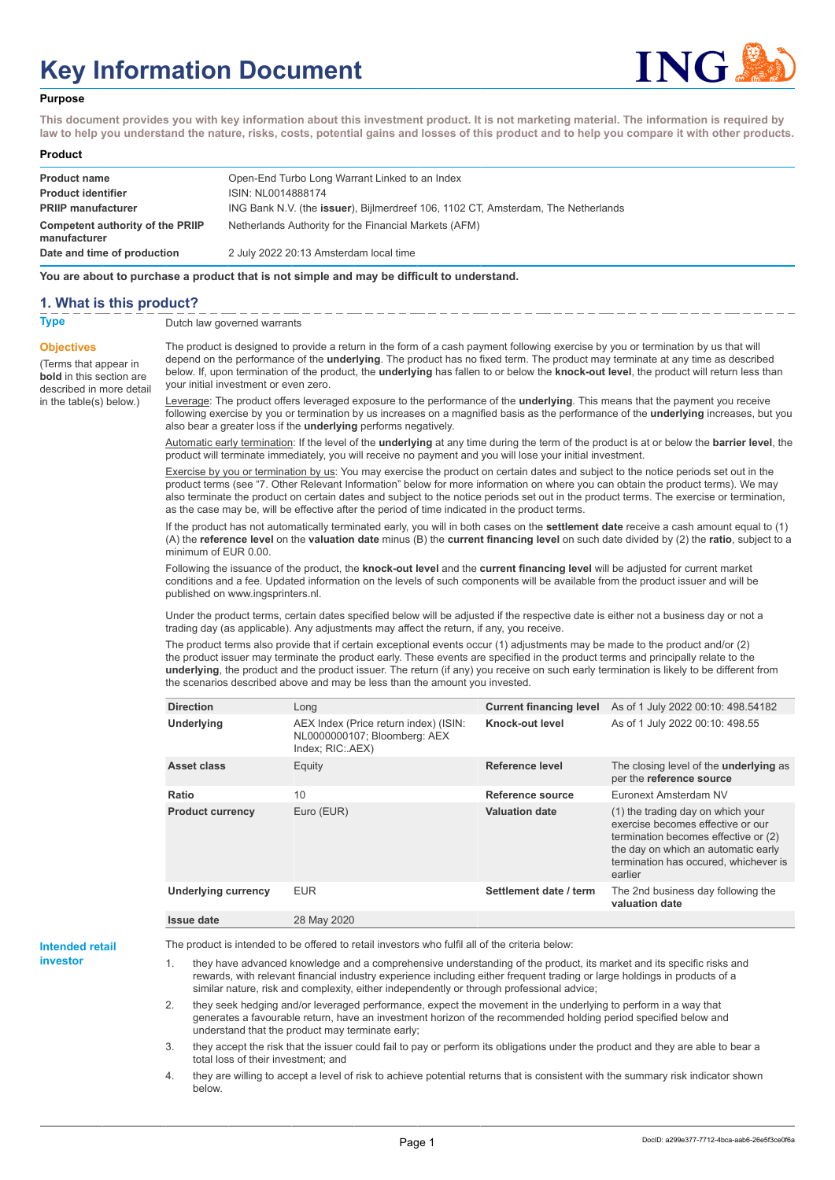# **Key Information Document**



#### **Purpose**

**This document provides you with key information about this investment product. It is not marketing material. The information is required by law to help you understand the nature, risks, costs, potential gains and losses of this product and to help you compare it with other products.**

#### **Product**

| <b>Product name</b><br><b>Product identifier</b> | Open-End Turbo Long Warrant Linked to an Index<br>ISIN: NL0014888174                      |
|--------------------------------------------------|-------------------------------------------------------------------------------------------|
| <b>PRIIP manufacturer</b>                        | ING Bank N.V. (the <b>issuer</b> ), Bijlmerdreef 106, 1102 CT, Amsterdam, The Netherlands |
| Competent authority of the PRIIP<br>manufacturer | Netherlands Authority for the Financial Markets (AFM)                                     |
| Date and time of production                      | 2 July 2022 20:13 Amsterdam local time                                                    |

**You are about to purchase a product that is not simple and may be difficult to understand.**

## **1. What is this product?**

**Objectives**

(Terms that appear in **bold** in this section are

in the table(s) below.)

## **Type** Dutch law governed warrants

described in more detail The product is designed to provide a return in the form of a cash payment following exercise by you or termination by us that will depend on the performance of the **underlying**. The product has no fixed term. The product may terminate at any time as described below. If, upon termination of the product, the **underlying** has fallen to or below the **knock-out level**, the product will return less than your initial investment or even zero.

> Leverage: The product offers leveraged exposure to the performance of the **underlying**. This means that the payment you receive following exercise by you or termination by us increases on a magnified basis as the performance of the **underlying** increases, but you also bear a greater loss if the **underlying** performs negatively.

> Automatic early termination: If the level of the **underlying** at any time during the term of the product is at or below the **barrier level**, the product will terminate immediately, you will receive no payment and you will lose your initial investment.

> Exercise by you or termination by us: You may exercise the product on certain dates and subject to the notice periods set out in the product terms (see "7. Other Relevant Information" below for more information on where you can obtain the product terms). We may also terminate the product on certain dates and subject to the notice periods set out in the product terms. The exercise or termination, as the case may be, will be effective after the period of time indicated in the product terms.

> If the product has not automatically terminated early, you will in both cases on the **settlement date** receive a cash amount equal to (1) (A) the **reference level** on the **valuation date** minus (B) the **current financing level** on such date divided by (2) the **ratio**, subject to a minimum of EUR 0.00.

Following the issuance of the product, the **knock-out level** and the **current financing level** will be adjusted for current market conditions and a fee. Updated information on the levels of such components will be available from the product issuer and will be published on www.ingsprinters.nl.

Under the product terms, certain dates specified below will be adjusted if the respective date is either not a business day or not a trading day (as applicable). Any adjustments may affect the return, if any, you receive.

The product terms also provide that if certain exceptional events occur (1) adjustments may be made to the product and/or (2) the product issuer may terminate the product early. These events are specified in the product terms and principally relate to the **underlying**, the product and the product issuer. The return (if any) you receive on such early termination is likely to be different from the scenarios described above and may be less than the amount you invested.

| <b>Direction</b>           | Long                                                                                      | <b>Current financing level</b> | As of 1 July 2022 00:10: 498.54182                                                                                                                                                                        |
|----------------------------|-------------------------------------------------------------------------------------------|--------------------------------|-----------------------------------------------------------------------------------------------------------------------------------------------------------------------------------------------------------|
| <b>Underlying</b>          | AEX Index (Price return index) (ISIN:<br>NL0000000107; Bloomberg: AEX<br>Index; RIC: AEX) | Knock-out level                | As of 1 July 2022 00:10: 498.55                                                                                                                                                                           |
| Asset class                | Equity                                                                                    | Reference level                | The closing level of the <b>underlying</b> as<br>per the reference source                                                                                                                                 |
| Ratio                      | 10                                                                                        | Reference source               | Euronext Amsterdam NV                                                                                                                                                                                     |
| <b>Product currency</b>    | Euro (EUR)                                                                                | <b>Valuation date</b>          | (1) the trading day on which your<br>exercise becomes effective or our<br>termination becomes effective or (2)<br>the day on which an automatic early<br>termination has occured, whichever is<br>earlier |
| <b>Underlying currency</b> | <b>EUR</b>                                                                                | Settlement date / term         | The 2nd business day following the<br>valuation date                                                                                                                                                      |
| <b>Issue date</b>          | 28 May 2020                                                                               |                                |                                                                                                                                                                                                           |

**Intended retail investor**

The product is intended to be offered to retail investors who fulfil all of the criteria below:

they have advanced knowledge and a comprehensive understanding of the product, its market and its specific risks and rewards, with relevant financial industry experience including either frequent trading or large holdings in products of a similar nature, risk and complexity, either independently or through professional advice;

2. they seek hedging and/or leveraged performance, expect the movement in the underlying to perform in a way that generates a favourable return, have an investment horizon of the recommended holding period specified below and understand that the product may terminate early;

3. they accept the risk that the issuer could fail to pay or perform its obligations under the product and they are able to bear a total loss of their investment; and

4. they are willing to accept a level of risk to achieve potential returns that is consistent with the summary risk indicator shown below.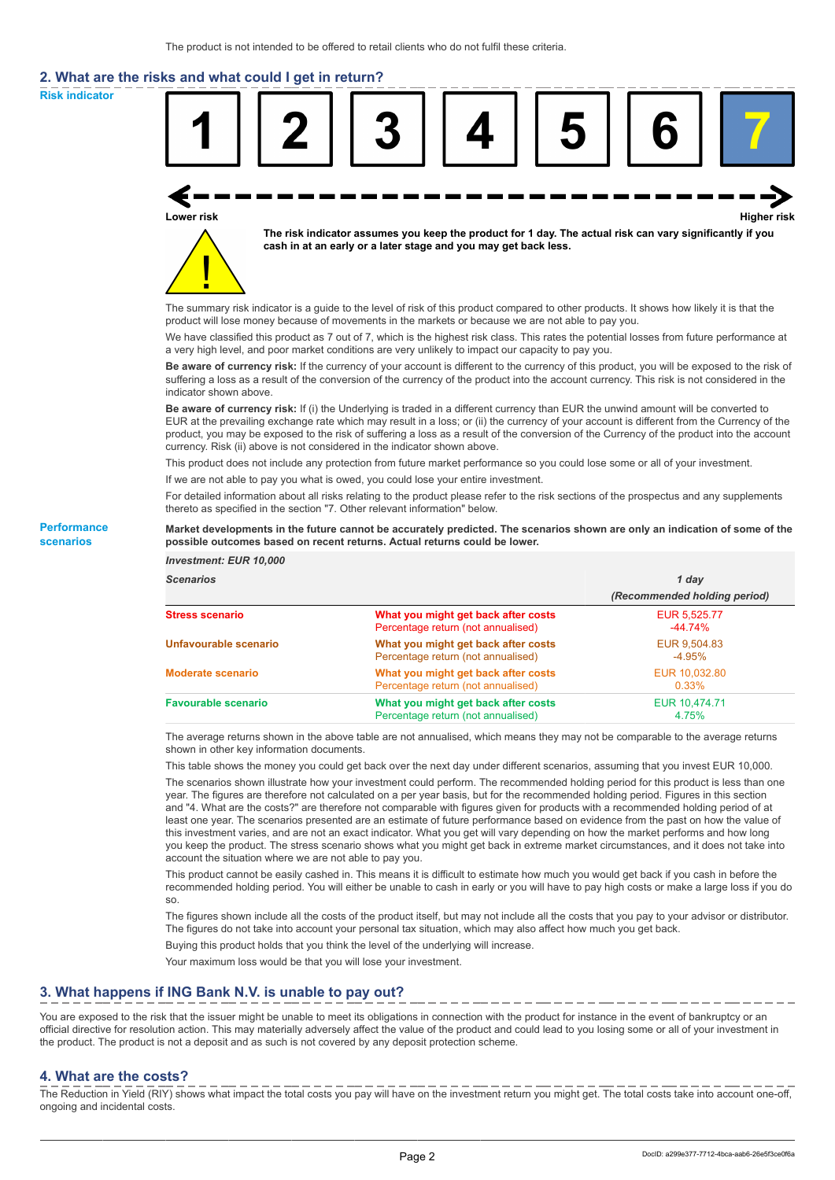# **2. What are the risks and what could I get in return?**

**Risk indicator**

**Performance scenarios**



thereto as specified in the section "7. Other relevant information" below.

#### **Market developments in the future cannot be accurately predicted. The scenarios shown are only an indication of some of the possible outcomes based on recent returns. Actual returns could be lower.**

| <b>Investment: EUR 10,000</b> |                                                                           |                              |
|-------------------------------|---------------------------------------------------------------------------|------------------------------|
| <b>Scenarios</b>              |                                                                           | 1 day                        |
|                               |                                                                           | (Recommended holding period) |
| <b>Stress scenario</b>        | What you might get back after costs<br>Percentage return (not annualised) | EUR 5,525.77<br>$-44.74%$    |
| Unfavourable scenario         | What you might get back after costs<br>Percentage return (not annualised) | EUR 9,504.83<br>$-4.95%$     |
| <b>Moderate scenario</b>      | What you might get back after costs<br>Percentage return (not annualised) | EUR 10.032.80<br>0.33%       |
| <b>Favourable scenario</b>    | What you might get back after costs<br>Percentage return (not annualised) | EUR 10.474.71<br>4.75%       |

The average returns shown in the above table are not annualised, which means they may not be comparable to the average returns shown in other key information documents.

This table shows the money you could get back over the next day under different scenarios, assuming that you invest EUR 10,000.

The scenarios shown illustrate how your investment could perform. The recommended holding period for this product is less than one year. The figures are therefore not calculated on a per year basis, but for the recommended holding period. Figures in this section and "4. What are the costs?" are therefore not comparable with figures given for products with a recommended holding period of at least one year. The scenarios presented are an estimate of future performance based on evidence from the past on how the value of this investment varies, and are not an exact indicator. What you get will vary depending on how the market performs and how long you keep the product. The stress scenario shows what you might get back in extreme market circumstances, and it does not take into account the situation where we are not able to pay you.

This product cannot be easily cashed in. This means it is difficult to estimate how much you would get back if you cash in before the recommended holding period. You will either be unable to cash in early or you will have to pay high costs or make a large loss if you do so.

The figures shown include all the costs of the product itself, but may not include all the costs that you pay to your advisor or distributor. The figures do not take into account your personal tax situation, which may also affect how much you get back.

Buying this product holds that you think the level of the underlying will increase.

Your maximum loss would be that you will lose your investment.

# **3. What happens if ING Bank N.V. is unable to pay out?**

You are exposed to the risk that the issuer might be unable to meet its obligations in connection with the product for instance in the event of bankruptcy or an official directive for resolution action. This may materially adversely affect the value of the product and could lead to you losing some or all of your investment in the product. The product is not a deposit and as such is not covered by any deposit protection scheme.

#### **4. What are the costs?**

The Reduction in Yield (RIY) shows what impact the total costs you pay will have on the investment return you might get. The total costs take into account one-off, ongoing and incidental costs.